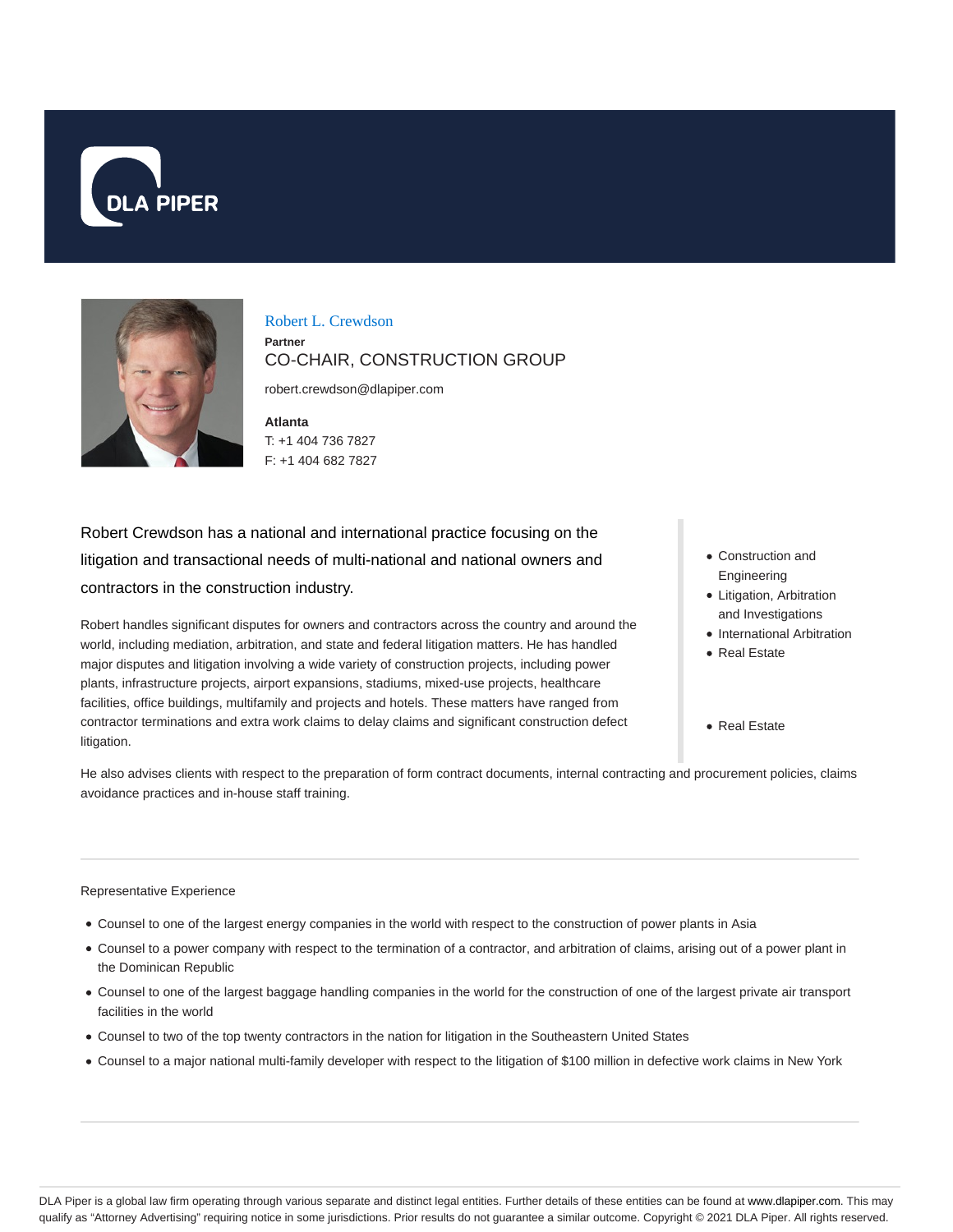



Robert L. Crewdson **Partner** CO-CHAIR, CONSTRUCTION GROUP

robert.crewdson@dlapiper.com

**Atlanta** T: +1 404 736 7827 F: +1 404 682 7827

Robert Crewdson has a national and international practice focusing on the litigation and transactional needs of multi-national and national owners and contractors in the construction industry.

Robert handles significant disputes for owners and contractors across the country and around the world, including mediation, arbitration, and state and federal litigation matters. He has handled major disputes and litigation involving a wide variety of construction projects, including power plants, infrastructure projects, airport expansions, stadiums, mixed-use projects, healthcare facilities, office buildings, multifamily and projects and hotels. These matters have ranged from contractor terminations and extra work claims to delay claims and significant construction defect litigation.

- Construction and Engineering
- Litigation, Arbitration and Investigations
- International Arbitration
- Real Estate
- Real Estate

He also advises clients with respect to the preparation of form contract documents, internal contracting and procurement policies, claims avoidance practices and in-house staff training.

#### Representative Experience

- Counsel to one of the largest energy companies in the world with respect to the construction of power plants in Asia
- Counsel to a power company with respect to the termination of a contractor, and arbitration of claims, arising out of a power plant in the Dominican Republic
- Counsel to one of the largest baggage handling companies in the world for the construction of one of the largest private air transport facilities in the world
- Counsel to two of the top twenty contractors in the nation for litigation in the Southeastern United States
- Counsel to a major national multi-family developer with respect to the litigation of \$100 million in defective work claims in New York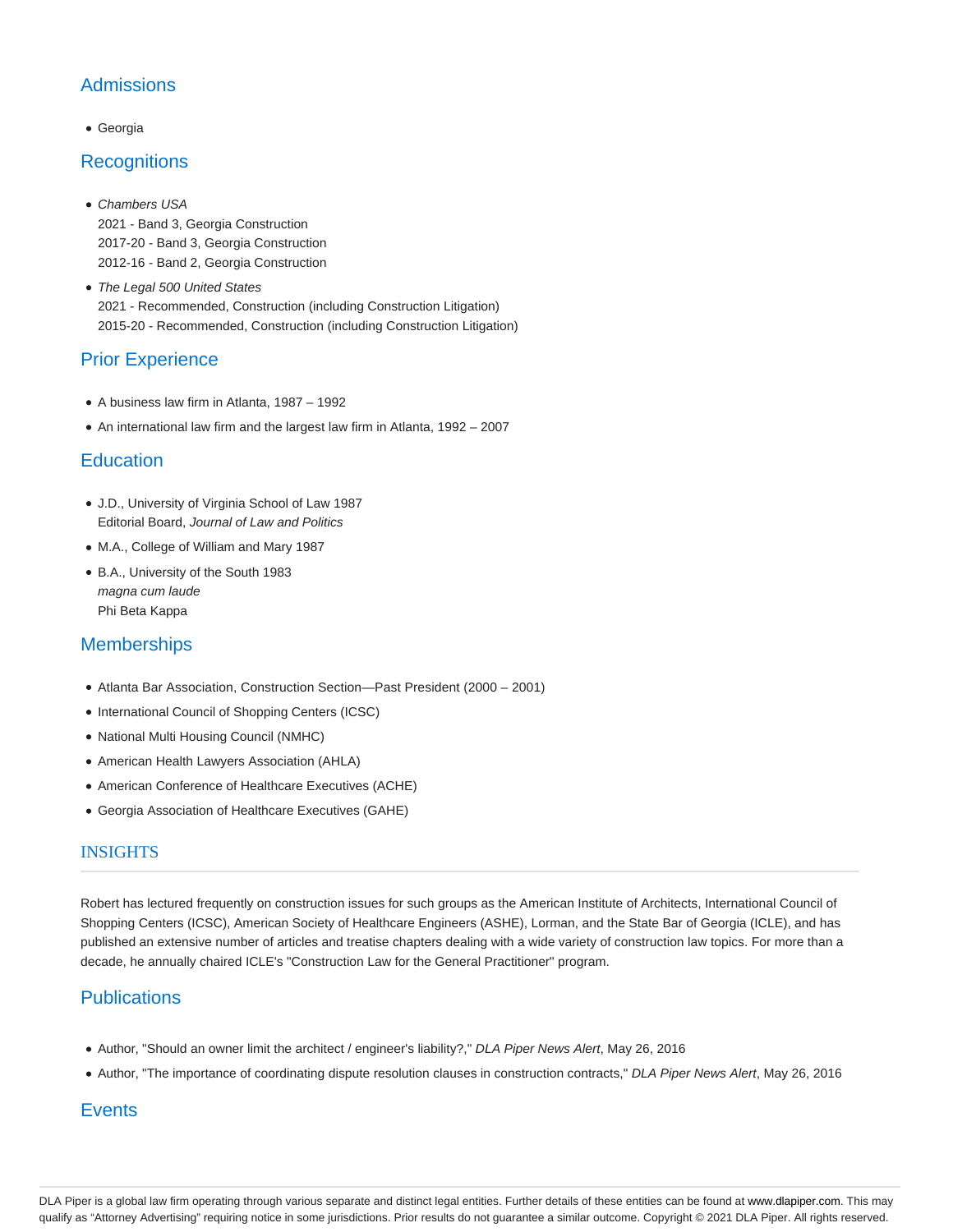# **Admissions**

Georgia

## **Recognitions**

- Chambers USA 2021 - Band 3, Georgia Construction 2017-20 - Band 3, Georgia Construction 2012-16 - Band 2, Georgia Construction
- The Legal 500 United States 2021 - Recommended, Construction (including Construction Litigation) 2015-20 - Recommended, Construction (including Construction Litigation)

## Prior Experience

- A business law firm in Atlanta, 1987 1992
- An international law firm and the largest law firm in Atlanta, 1992 2007

## **Education**

- J.D., University of Virginia School of Law 1987 Editorial Board, Journal of Law and Politics
- M.A., College of William and Mary 1987
- B.A., University of the South 1983 magna cum laude Phi Beta Kappa

## **Memberships**

- Atlanta Bar Association, Construction Section—Past President (2000 2001)
- International Council of Shopping Centers (ICSC)
- National Multi Housing Council (NMHC)
- American Health Lawyers Association (AHLA)
- American Conference of Healthcare Executives (ACHE)
- Georgia Association of Healthcare Executives (GAHE)

#### **INSIGHTS**

Robert has lectured frequently on construction issues for such groups as the American Institute of Architects, International Council of Shopping Centers (ICSC), American Society of Healthcare Engineers (ASHE), Lorman, and the State Bar of Georgia (ICLE), and has published an extensive number of articles and treatise chapters dealing with a wide variety of construction law topics. For more than a decade, he annually chaired ICLE's "Construction Law for the General Practitioner" program.

## **Publications**

- Author, "Should an owner limit the architect / engineer's liability?," DLA Piper News Alert, May 26, 2016
- Author, "The importance of coordinating dispute resolution clauses in construction contracts," DLA Piper News Alert, May 26, 2016

## **Events**

DLA Piper is a global law firm operating through various separate and distinct legal entities. Further details of these entities can be found at www.dlapiper.com. This may qualify as "Attorney Advertising" requiring notice in some jurisdictions. Prior results do not guarantee a similar outcome. Copyright © 2021 DLA Piper. All rights reserved.